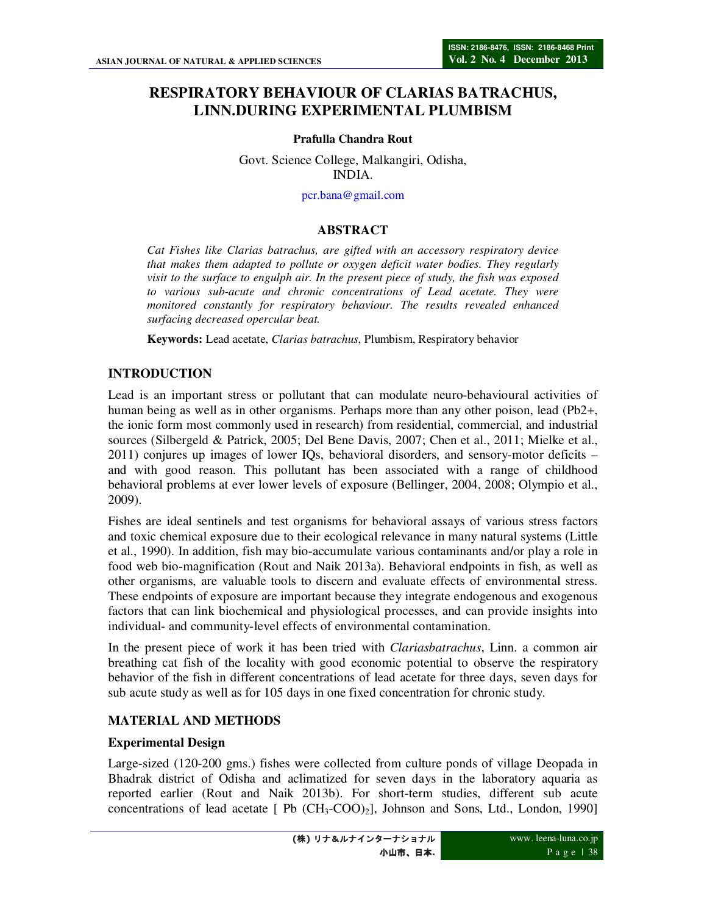# **RESPIRATORY BEHAVIOUR OF CLARIAS BATRACHUS, LINN.DURING EXPERIMENTAL PLUMBISM**

#### **Prafulla Chandra Rout**

Govt. Science College, Malkangiri, Odisha, INDIA.

pcr.bana@gmail.com

#### **ABSTRACT**

*Cat Fishes like Clarias batrachus, are gifted with an accessory respiratory device that makes them adapted to pollute or oxygen deficit water bodies. They regularly visit to the surface to engulph air. In the present piece of study, the fish was exposed to various sub-acute and chronic concentrations of Lead acetate. They were monitored constantly for respiratory behaviour. The results revealed enhanced surfacing decreased opercular beat.* 

**Keywords:** Lead acetate, *Clarias batrachus*, Plumbism, Respiratory behavior

#### **INTRODUCTION**

Lead is an important stress or pollutant that can modulate neuro-behavioural activities of human being as well as in other organisms. Perhaps more than any other poison, lead (Pb2+, the ionic form most commonly used in research) from residential, commercial, and industrial sources (Silbergeld & Patrick, 2005; Del Bene Davis, 2007; Chen et al., 2011; Mielke et al., 2011) conjures up images of lower IQs, behavioral disorders, and sensory-motor deficits – and with good reason. This pollutant has been associated with a range of childhood behavioral problems at ever lower levels of exposure (Bellinger, 2004, 2008; Olympio et al., 2009).

Fishes are ideal sentinels and test organisms for behavioral assays of various stress factors and toxic chemical exposure due to their ecological relevance in many natural systems (Little et al., 1990). In addition, fish may bio-accumulate various contaminants and/or play a role in food web bio-magnification (Rout and Naik 2013a). Behavioral endpoints in fish, as well as other organisms, are valuable tools to discern and evaluate effects of environmental stress. These endpoints of exposure are important because they integrate endogenous and exogenous factors that can link biochemical and physiological processes, and can provide insights into individual- and community-level effects of environmental contamination.

In the present piece of work it has been tried with *Clariasbatrachus*, Linn. a common air breathing cat fish of the locality with good economic potential to observe the respiratory behavior of the fish in different concentrations of lead acetate for three days, seven days for sub acute study as well as for 105 days in one fixed concentration for chronic study.

## **MATERIAL AND METHODS**

#### **Experimental Design**

Large-sized (120-200 gms.) fishes were collected from culture ponds of village Deopada in Bhadrak district of Odisha and aclimatized for seven days in the laboratory aquaria as reported earlier (Rout and Naik 2013b). For short-term studies, different sub acute concentrations of lead acetate  $[$  Pb  $(CH_3-COO)_2]$ , Johnson and Sons, Ltd., London, 1990]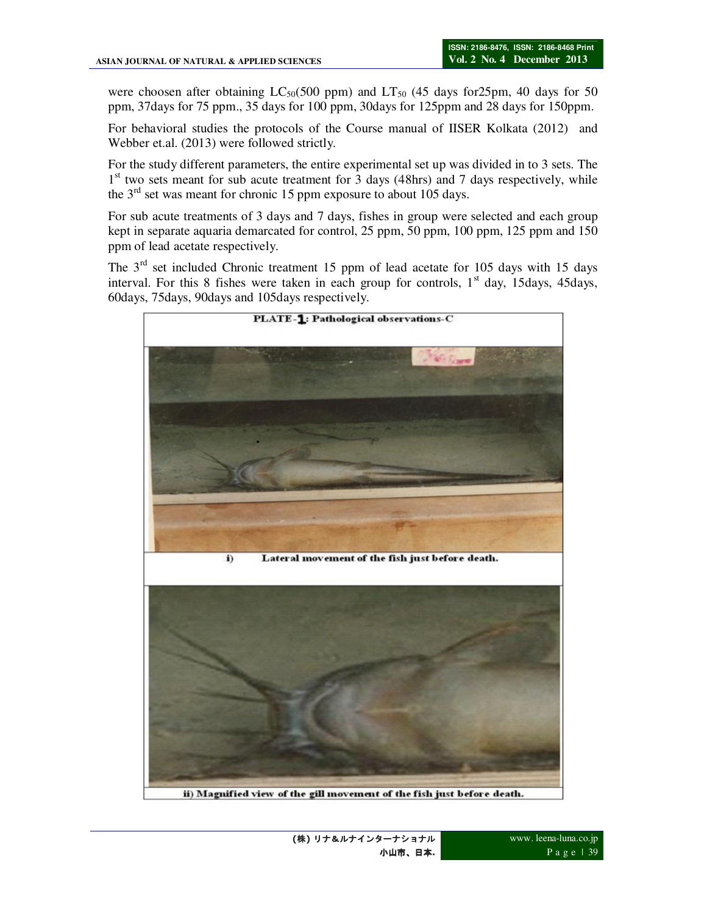were choosen after obtaining  $LC_{50}(500 \text{ ppm})$  and  $LT_{50}$  (45 days for 25pm, 40 days for 50 ppm, 37days for 75 ppm., 35 days for 100 ppm, 30days for 125ppm and 28 days for 150ppm.

For behavioral studies the protocols of the Course manual of IISER Kolkata (2012) and Webber et.al. (2013) were followed strictly.

For the study different parameters, the entire experimental set up was divided in to 3 sets. The 1<sup>st</sup> two sets meant for sub acute treatment for 3 days (48hrs) and 7 days respectively, while the  $3<sup>rd</sup>$  set was meant for chronic 15 ppm exposure to about 105 days.

For sub acute treatments of 3 days and 7 days, fishes in group were selected and each group kept in separate aquaria demarcated for control, 25 ppm, 50 ppm, 100 ppm, 125 ppm and 150 ppm of lead acetate respectively.

The  $3<sup>rd</sup>$  set included Chronic treatment 15 ppm of lead acetate for 105 days with 15 days interval. For this 8 fishes were taken in each group for controls,  $1<sup>st</sup>$  day, 15days, 45days, 60days, 75days, 90days and 105days respectively.

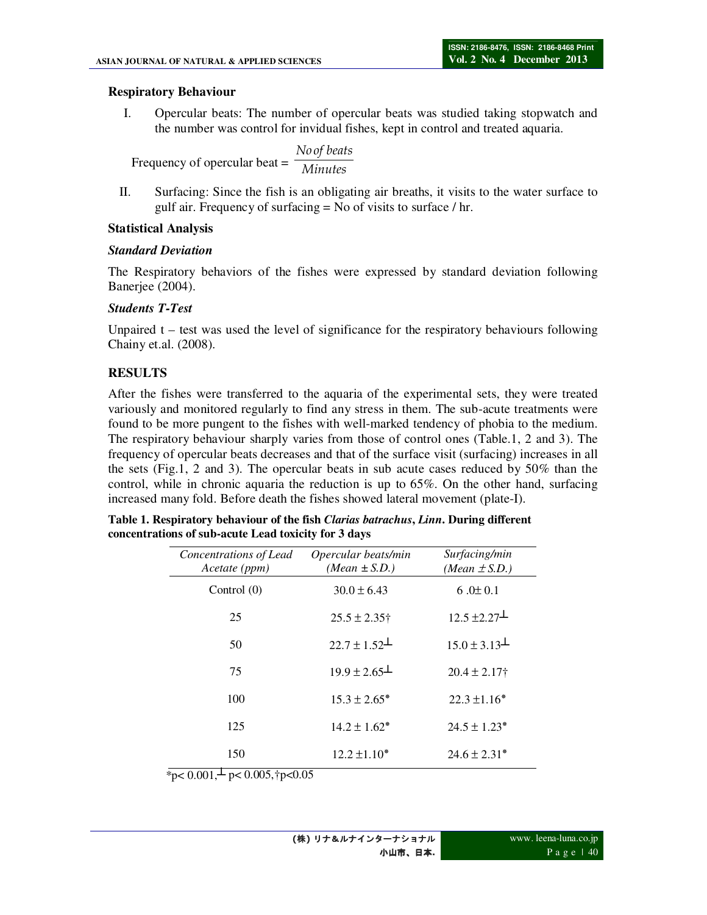#### **Respiratory Behaviour**

I. Opercular beats: The number of opercular beats was studied taking stopwatch and the number was control for invidual fishes, kept in control and treated aquaria.

Frequency of opercular beat = *Minutes No of beats*

II. Surfacing: Since the fish is an obligating air breaths, it visits to the water surface to gulf air. Frequency of surfacing = No of visits to surface / hr.

## **Statistical Analysis**

## *Standard Deviation*

The Respiratory behaviors of the fishes were expressed by standard deviation following Banerjee (2004).

## *Students T-Test*

Unpaired  $t - \text{test}$  was used the level of significance for the respiratory behaviours following Chainy et.al. (2008).

## **RESULTS**

After the fishes were transferred to the aquaria of the experimental sets, they were treated variously and monitored regularly to find any stress in them. The sub-acute treatments were found to be more pungent to the fishes with well-marked tendency of phobia to the medium. The respiratory behaviour sharply varies from those of control ones (Table.1, 2 and 3). The frequency of opercular beats decreases and that of the surface visit (surfacing) increases in all the sets (Fig.1, 2 and 3). The opercular beats in sub acute cases reduced by 50% than the control, while in chronic aquaria the reduction is up to 65%. On the other hand, surfacing increased many fold. Before death the fishes showed lateral movement (plate-I).

| Concentrations of Lead<br>Acetate (ppm) | Opercular beats/min<br>$(Mean \pm S.D.)$ | Surfacing/min<br>(Mean $\pm$ S.D.) |
|-----------------------------------------|------------------------------------------|------------------------------------|
| Control $(0)$                           | $30.0 \pm 6.43$                          | 6.0 $\pm$ 0.1                      |
| 25                                      | $25.5 \pm 2.35$ †                        | $12.5 \pm 2.27$                    |
| 50                                      | $22.7 \pm 1.52$                          | $15.0 \pm 3.13$                    |
| 75                                      | $19.9 \pm 2.65$                          | $20.4 \pm 2.17$                    |
| 100                                     | $15.3 \pm 2.65^*$                        | $22.3 \pm 1.16^*$                  |
| 125                                     | $14.2 \pm 1.62^*$                        | $24.5 \pm 1.23^*$                  |
| 150                                     | $12.2 \pm 1.10^*$                        | $24.6 \pm 2.31*$                   |

**Table 1. Respiratory behaviour of the fish** *Clarias batrachus***,** *Linn***. During different concentrations of sub-acute Lead toxicity for 3 days** 

\*p<  $0.001, \frac{1}{2}$  p<  $0.005, \frac{1}{1}$  p< 0.05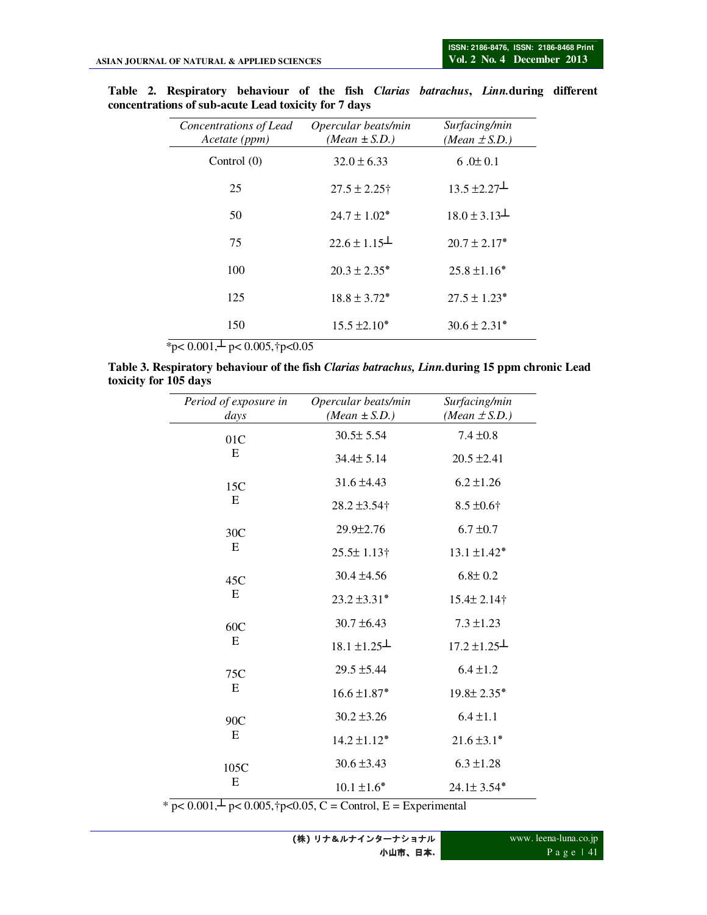| Concentrations of Lead<br>Acetate (ppm) | Opercular beats/min<br>(Mean $\pm$ S.D.) | Surfacing/min<br>(Mean $\pm$ S.D.) |
|-----------------------------------------|------------------------------------------|------------------------------------|
| Control $(0)$                           | $32.0 \pm 6.33$                          | 6.0 $\pm$ 0.1                      |
| 25                                      | $27.5 \pm 2.25$ †                        | $13.5 \pm 2.27$                    |
| 50                                      | $24.7 + 1.02*$                           | $18.0 \pm 3.13$                    |
| 75                                      | $22.6 \pm 1.15$                          | $20.7 \pm 2.17*$                   |
| 100                                     | $20.3 \pm 2.35^*$                        | $25.8 \pm 1.16^*$                  |
| 125                                     | $18.8 \pm 3.72^*$                        | $27.5 \pm 1.23*$                   |
| 150                                     | $15.5 \pm 2.10*$                         | $30.6 \pm 2.31*$                   |

**Table 2. Respiratory behaviour of the fish** *Clarias batrachus***,** *Linn.***during different concentrations of sub-acute Lead toxicity for 7 days** 

 $\frac{1}{2}$   $\frac{p}{(0.001, \frac{1}{2} \text{ p} < 0.005, \frac{1}{2} \text{ p} < 0.05)}$ 

| Table 3. Respiratory behaviour of the fish <i>Clarias batrachus, Linn</i> .during 15 ppm chronic Lead |  |  |  |  |
|-------------------------------------------------------------------------------------------------------|--|--|--|--|
| toxicity for 105 days                                                                                 |  |  |  |  |

| Period of exposure in | Opercular beats/min | Surfacing/min                |
|-----------------------|---------------------|------------------------------|
| days                  | $(Mean \pm S.D.)$   | (Mean $\pm$ S.D.)            |
| 01C<br>E              | $30.5 \pm 5.54$     | $7.4 \pm 0.8$                |
|                       | 34.4± 5.14          | $20.5 \pm 2.41$              |
| 15C                   | $31.6 \pm 4.43$     | $6.2 \pm 1.26$               |
| E                     | 28.2 ±3.54†         | $8.5 \pm 0.6$ †              |
| 30C                   | 29.9±2.76           | $6.7 \pm 0.7$                |
| E                     | $25.5 \pm 1.13$ †   | $13.1 \pm 1.42^*$            |
| 45C<br>E              | $30.4 \pm 4.56$     | $6.8 \pm 0.2$                |
|                       | $23.2 \pm 3.31*$    | 15.4± 2.14†                  |
| 60C<br>E              | $30.7 \pm 6.43$     | $7.3 \pm 1.23$               |
|                       | $18.1 \pm 1.25$     | $17.2 \pm 1.25$              |
| 75C<br>E              | $29.5 \pm 5.44$     | $6.4 \pm 1.2$                |
|                       | $16.6 \pm 1.87*$    | $19.8 \pm 2.35$ *            |
| 90C<br>E              | $30.2 \pm 3.26$     | $6.4 \pm 1.1$                |
|                       | $14.2 \pm 1.12*$    | $21.6 \pm 3.1*$              |
| 105C                  | $30.6 \pm 3.43$     | $6.3 \pm 1.28$               |
| E                     | $10.1 \pm 1.6*$     | $24.1 \pm 3.54$ <sup>*</sup> |

\*  $p < 0.001, \frac{1}{2} p < 0.005, \frac{1}{2} p < 0.05, C =$  Control, E = Experimental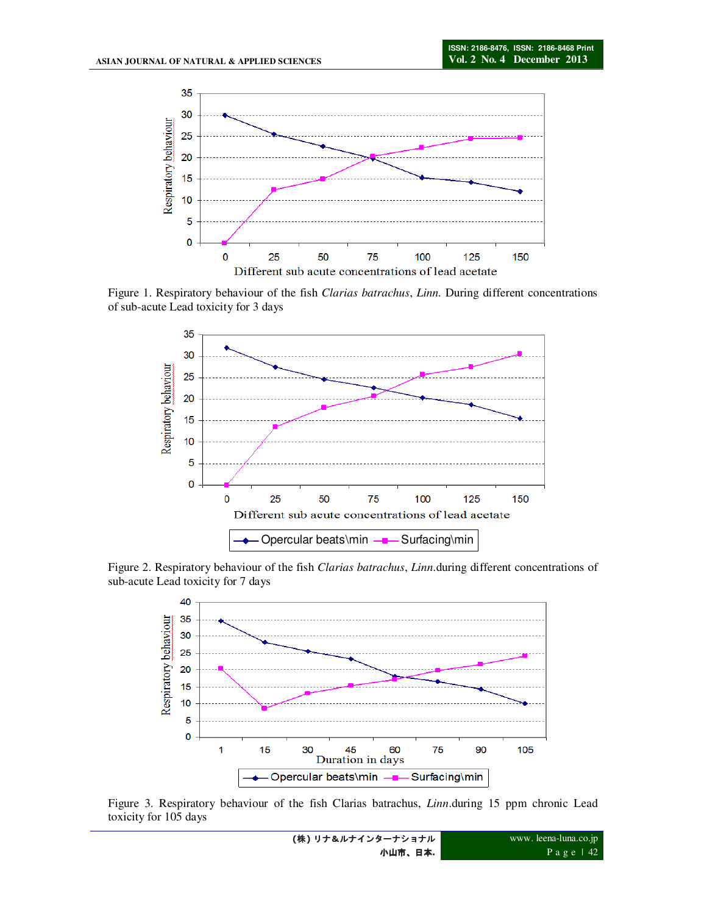

Figure 1. Respiratory behaviour of the fish *Clarias batrachus*, *Linn.* During different concentrations of sub-acute Lead toxicity for 3 days



Figure 2. Respiratory behaviour of the fish *Clarias batrachus*, *Linn*.during different concentrations of sub-acute Lead toxicity for 7 days



Figure 3. Respiratory behaviour of the fish Clarias batrachus, *Linn*.during 15 ppm chronic Lead toxicity for 105 days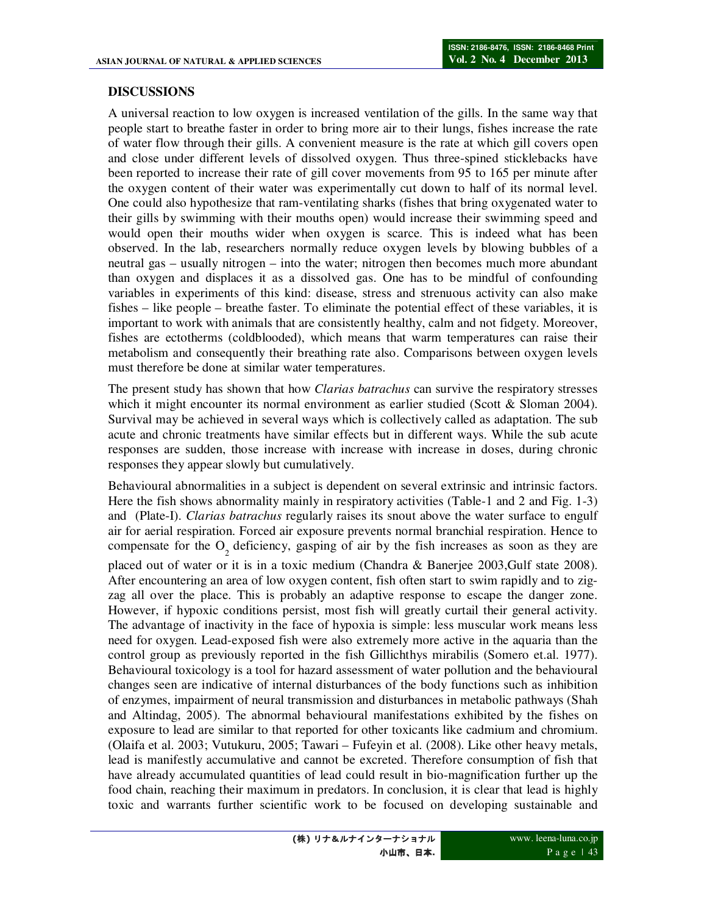## **DISCUSSIONS**

A universal reaction to low oxygen is increased ventilation of the gills. In the same way that people start to breathe faster in order to bring more air to their lungs, fishes increase the rate of water flow through their gills. A convenient measure is the rate at which gill covers open and close under different levels of dissolved oxygen. Thus three-spined sticklebacks have been reported to increase their rate of gill cover movements from 95 to 165 per minute after the oxygen content of their water was experimentally cut down to half of its normal level. One could also hypothesize that ram-ventilating sharks (fishes that bring oxygenated water to their gills by swimming with their mouths open) would increase their swimming speed and would open their mouths wider when oxygen is scarce. This is indeed what has been observed. In the lab, researchers normally reduce oxygen levels by blowing bubbles of a neutral gas – usually nitrogen – into the water; nitrogen then becomes much more abundant than oxygen and displaces it as a dissolved gas. One has to be mindful of confounding variables in experiments of this kind: disease, stress and strenuous activity can also make fishes – like people – breathe faster. To eliminate the potential effect of these variables, it is important to work with animals that are consistently healthy, calm and not fidgety. Moreover, fishes are ectotherms (coldblooded), which means that warm temperatures can raise their metabolism and consequently their breathing rate also. Comparisons between oxygen levels must therefore be done at similar water temperatures.

The present study has shown that how *Clarias batrachus* can survive the respiratory stresses which it might encounter its normal environment as earlier studied (Scott & Sloman 2004). Survival may be achieved in several ways which is collectively called as adaptation. The sub acute and chronic treatments have similar effects but in different ways. While the sub acute responses are sudden, those increase with increase with increase in doses, during chronic responses they appear slowly but cumulatively.

Behavioural abnormalities in a subject is dependent on several extrinsic and intrinsic factors. Here the fish shows abnormality mainly in respiratory activities (Table-1 and 2 and Fig. 1-3) and (Plate-I). *Clarias batrachus* regularly raises its snout above the water surface to engulf air for aerial respiration. Forced air exposure prevents normal branchial respiration. Hence to compensate for the  $O_2$  deficiency, gasping of air by the fish increases as soon as they are placed out of water or it is in a toxic medium (Chandra & Banerjee 2003,Gulf state 2008). After encountering an area of low oxygen content, fish often start to swim rapidly and to zigzag all over the place. This is probably an adaptive response to escape the danger zone. However, if hypoxic conditions persist, most fish will greatly curtail their general activity. The advantage of inactivity in the face of hypoxia is simple: less muscular work means less need for oxygen. Lead-exposed fish were also extremely more active in the aquaria than the control group as previously reported in the fish Gillichthys mirabilis (Somero et.al. 1977). Behavioural toxicology is a tool for hazard assessment of water pollution and the behavioural changes seen are indicative of internal disturbances of the body functions such as inhibition of enzymes, impairment of neural transmission and disturbances in metabolic pathways (Shah and Altindag, 2005). The abnormal behavioural manifestations exhibited by the fishes on exposure to lead are similar to that reported for other toxicants like cadmium and chromium. (Olaifa et al. 2003; Vutukuru, 2005; Tawari – Fufeyin et al. (2008). Like other heavy metals, lead is manifestly accumulative and cannot be excreted. Therefore consumption of fish that have already accumulated quantities of lead could result in bio-magnification further up the food chain, reaching their maximum in predators. In conclusion, it is clear that lead is highly toxic and warrants further scientific work to be focused on developing sustainable and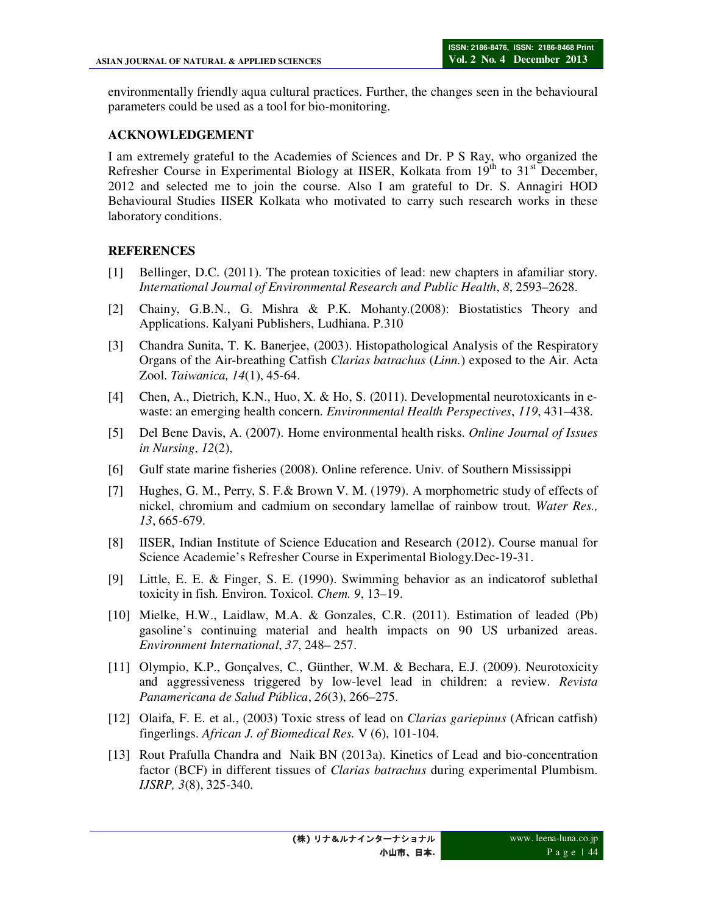environmentally friendly aqua cultural practices. Further, the changes seen in the behavioural parameters could be used as a tool for bio-monitoring.

## **ACKNOWLEDGEMENT**

I am extremely grateful to the Academies of Sciences and Dr. P S Ray, who organized the Refresher Course in Experimental Biology at IISER, Kolkata from  $19<sup>th</sup>$  to  $31<sup>st</sup>$  December, 2012 and selected me to join the course. Also I am grateful to Dr. S. Annagiri HOD Behavioural Studies IISER Kolkata who motivated to carry such research works in these laboratory conditions.

## **REFERENCES**

- [1] Bellinger, D.C. (2011). The protean toxicities of lead: new chapters in afamiliar story. *International Journal of Environmental Research and Public Health*, *8*, 2593–2628.
- [2] Chainy, G.B.N., G. Mishra & P.K. Mohanty.(2008): Biostatistics Theory and Applications. Kalyani Publishers, Ludhiana. P.310
- [3] Chandra Sunita, T. K. Banerjee, (2003). Histopathological Analysis of the Respiratory Organs of the Air-breathing Catfish *Clarias batrachus* (*Linn.*) exposed to the Air. Acta Zool. *Taiwanica, 14*(1), 45-64.
- [4] Chen, A., Dietrich, K.N., Huo, X. & Ho, S. (2011). Developmental neurotoxicants in ewaste: an emerging health concern. *Environmental Health Perspectives*, *119*, 431–438.
- [5] Del Bene Davis, A. (2007). Home environmental health risks. *Online Journal of Issues in Nursing*, *12*(2),
- [6] Gulf state marine fisheries (2008). Online reference. Univ. of Southern Mississippi
- [7] Hughes, G. M., Perry, S. F.& Brown V. M. (1979). A morphometric study of effects of nickel, chromium and cadmium on secondary lamellae of rainbow trout. *Water Res., 13*, 665-679.
- [8] IISER, Indian Institute of Science Education and Research (2012). Course manual for Science Academie's Refresher Course in Experimental Biology.Dec-19-31.
- [9] Little, E. E. & Finger, S. E. (1990). Swimming behavior as an indicatorof sublethal toxicity in fish. Environ. Toxicol. *Chem. 9*, 13–19.
- [10] Mielke, H.W., Laidlaw, M.A. & Gonzales, C.R. (2011). Estimation of leaded (Pb) gasoline's continuing material and health impacts on 90 US urbanized areas. *Environment International*, *37*, 248– 257.
- [11] Olympio, K.P., Gonçalves, C., Günther, W.M. & Bechara, E.J. (2009). Neurotoxicity and aggressiveness triggered by low-level lead in children: a review. *Revista Panamericana de Salud Pública*, *26*(3), 266–275.
- [12] Olaifa, F. E. et al., (2003) Toxic stress of lead on *Clarias gariepinus* (African catfish) fingerlings. *African J. of Biomedical Res.* V (6), 101-104.
- [13] Rout Prafulla Chandra and Naik BN (2013a). Kinetics of Lead and bio-concentration factor (BCF) in different tissues of *Clarias batrachus* during experimental Plumbism. *IJSRP, 3*(8), 325-340.